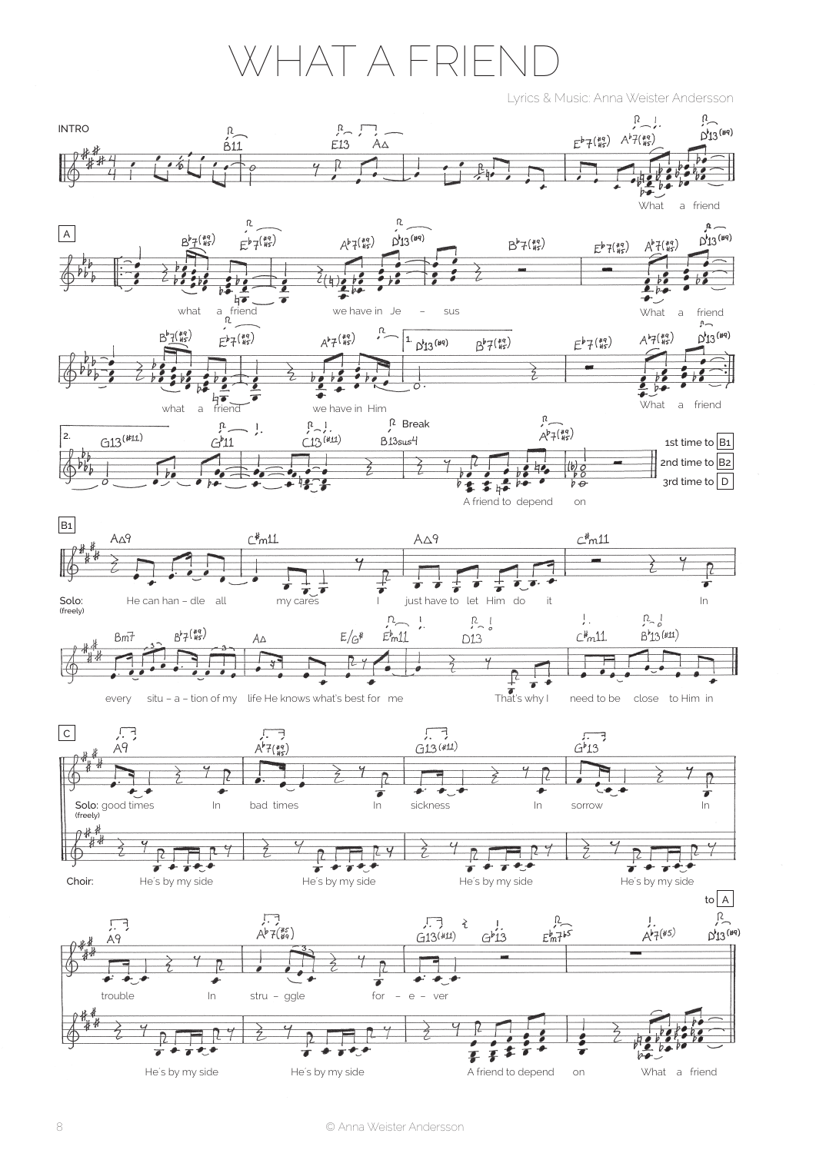## WHAT A FRIFI

Lyrics & Music: Anna Weister Andersson